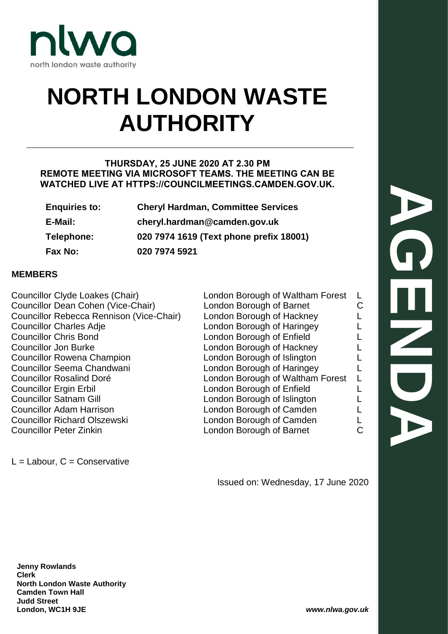

# **NORTH LONDON WASTE AUTHORITY**

## **THURSDAY, 25 JUNE 2020 AT 2.30 PM REMOTE MEETING VIA MICROSOFT TEAMS. THE MEETING CAN BE WATCHED LIVE AT HTTPS://COUNCILMEETINGS.CAMDEN.GOV.UK.**

| <b>Enquiries to:</b> | <b>Cheryl Hardman, Committee Services</b> |
|----------------------|-------------------------------------------|
| E-Mail:              | cheryl.hardman@camden.gov.uk              |
| <b>Telephone:</b>    | 020 7974 1619 (Text phone prefix 18001)   |
| Fax No:              | 020 7974 5921                             |
|                      |                                           |

# **MEMBERS**

Councillor Clyde Loakes (Chair) London Borough of Waltham Forest L Councillor Dean Cohen (Vice-Chair) London Borough of Barnet C Councillor Rebecca Rennison (Vice-Chair) London Borough of Hackney L **Councillor Charles Adje** London Borough of Haringey London Borough of Haringey **Councillor Chris Bond Councillor Chris Bond Councillor Chris Bond Council Council Council Council Council Council Council Council Council Council Council Council Council Council Council Council Council Council Council Cou** Councillor Jon Burke London Borough of Hackney London Borough of Hackney Councillor Rowena Champion<br>Councillor Seema Chandwani London Borough of Islington<br>London Borough of Haringey Councillor Rosalind Doré London Borough of Waltham Forest L Councillor Ergin Erbil **London Borough of Enfield** L Councillor Satnam Gill **London Borough of Islington** L Councillor Adam Harrison **Letter London Borough of Camden** L Councillor Richard Olszewski London Borough of Camden L Councillor Peter Zinkin **Councillor Peter Zinkin** C

 $L =$  Labour,  $C =$  Conservative

London Borough of Haringey L

**AGENDA**

Issued on: Wednesday, 17 June 2020

**Jenny Rowlands Clerk North London Waste Authority Camden Town Hall Judd Street London, WC1H 9JE** *www.nlwa.gov.uk*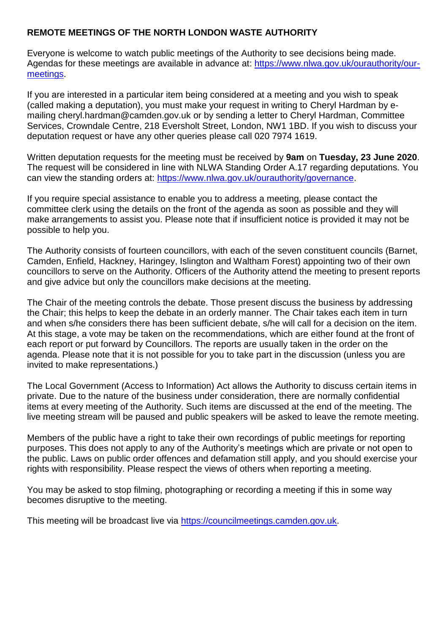# **REMOTE MEETINGS OF THE NORTH LONDON WASTE AUTHORITY**

Everyone is welcome to watch public meetings of the Authority to see decisions being made. Agendas for these meetings are available in advance at: [https://www.nlwa.gov.uk/ourauthority/our](https://www.nlwa.gov.uk/ourauthority/our-meetings)[meetings.](https://www.nlwa.gov.uk/ourauthority/our-meetings)

If you are interested in a particular item being considered at a meeting and you wish to speak (called making a deputation), you must make your request in writing to Cheryl Hardman by emailing cheryl.hardman@camden.gov.uk or by sending a letter to Cheryl Hardman, Committee Services, Crowndale Centre, 218 Eversholt Street, London, NW1 1BD. If you wish to discuss your deputation request or have any other queries please call 020 7974 1619.

Written deputation requests for the meeting must be received by **9am** on **Tuesday, 23 June 2020**. The request will be considered in line with NLWA Standing Order A.17 regarding deputations. You can view the standing orders at: [https://www.nlwa.gov.uk/ourauthority/governance.](https://www.nlwa.gov.uk/ourauthority/governance)

If you require special assistance to enable you to address a meeting, please contact the committee clerk using the details on the front of the agenda as soon as possible and they will make arrangements to assist you. Please note that if insufficient notice is provided it may not be possible to help you.

The Authority consists of fourteen councillors, with each of the seven constituent councils (Barnet, Camden, Enfield, Hackney, Haringey, Islington and Waltham Forest) appointing two of their own councillors to serve on the Authority. Officers of the Authority attend the meeting to present reports and give advice but only the councillors make decisions at the meeting.

The Chair of the meeting controls the debate. Those present discuss the business by addressing the Chair; this helps to keep the debate in an orderly manner. The Chair takes each item in turn and when s/he considers there has been sufficient debate, s/he will call for a decision on the item. At this stage, a vote may be taken on the recommendations, which are either found at the front of each report or put forward by Councillors. The reports are usually taken in the order on the agenda. Please note that it is not possible for you to take part in the discussion (unless you are invited to make representations.)

The Local Government (Access to Information) Act allows the Authority to discuss certain items in private. Due to the nature of the business under consideration, there are normally confidential items at every meeting of the Authority. Such items are discussed at the end of the meeting. The live meeting stream will be paused and public speakers will be asked to leave the remote meeting.

Members of the public have a right to take their own recordings of public meetings for reporting purposes. This does not apply to any of the Authority's meetings which are private or not open to the public. Laws on public order offences and defamation still apply, and you should exercise your rights with responsibility. Please respect the views of others when reporting a meeting.

You may be asked to stop filming, photographing or recording a meeting if this in some way becomes disruptive to the meeting.

This meeting will be broadcast live via [https://councilmeetings.camden.gov.uk.](https://councilmeetings.camden.gov.uk/)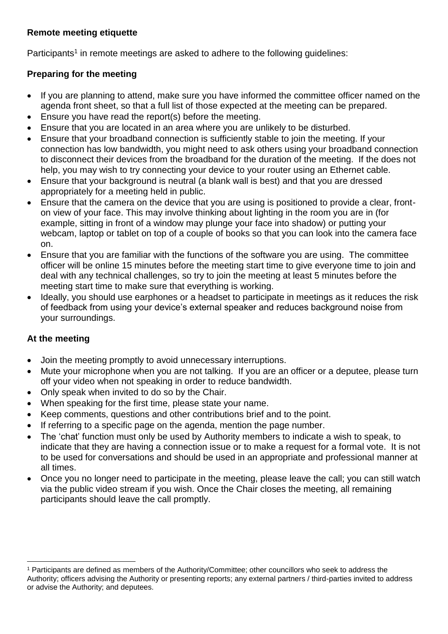# **Remote meeting etiquette**

Participants<sup>1</sup> in remote meetings are asked to adhere to the following guidelines:

# **Preparing for the meeting**

- If you are planning to attend, make sure you have informed the committee officer named on the agenda front sheet, so that a full list of those expected at the meeting can be prepared.
- Ensure you have read the report(s) before the meeting.
- Ensure that you are located in an area where you are unlikely to be disturbed.
- Ensure that your broadband connection is sufficiently stable to join the meeting. If your connection has low bandwidth, you might need to ask others using your broadband connection to disconnect their devices from the broadband for the duration of the meeting. If the does not help, you may wish to try connecting your device to your router using an Ethernet cable.
- Ensure that your background is neutral (a blank wall is best) and that you are dressed appropriately for a meeting held in public.
- Ensure that the camera on the device that you are using is positioned to provide a clear, fronton view of your face. This may involve thinking about lighting in the room you are in (for example, sitting in front of a window may plunge your face into shadow) or putting your webcam, laptop or tablet on top of a couple of books so that you can look into the camera face on.
- Ensure that you are familiar with the functions of the software you are using. The committee officer will be online 15 minutes before the meeting start time to give everyone time to join and deal with any technical challenges, so try to join the meeting at least 5 minutes before the meeting start time to make sure that everything is working.
- Ideally, you should use earphones or a headset to participate in meetings as it reduces the risk of feedback from using your device's external speaker and reduces background noise from your surroundings.

# **At the meeting**

1

- Join the meeting promptly to avoid unnecessary interruptions.
- Mute your microphone when you are not talking. If you are an officer or a deputee, please turn off your video when not speaking in order to reduce bandwidth.
- Only speak when invited to do so by the Chair.
- When speaking for the first time, please state your name.
- Keep comments, questions and other contributions brief and to the point.
- If referring to a specific page on the agenda, mention the page number.
- The 'chat' function must only be used by Authority members to indicate a wish to speak, to indicate that they are having a connection issue or to make a request for a formal vote. It is not to be used for conversations and should be used in an appropriate and professional manner at all times.
- Once you no longer need to participate in the meeting, please leave the call; you can still watch via the public video stream if you wish. Once the Chair closes the meeting, all remaining participants should leave the call promptly.

<sup>1</sup> Participants are defined as members of the Authority/Committee; other councillors who seek to address the Authority; officers advising the Authority or presenting reports; any external partners / third-parties invited to address or advise the Authority; and deputees.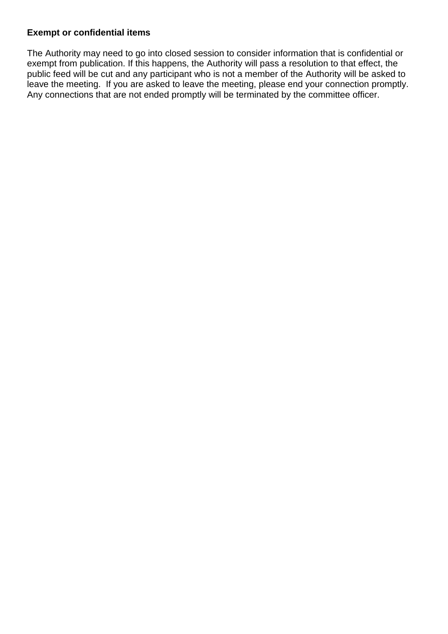# **Exempt or confidential items**

The Authority may need to go into closed session to consider information that is confidential or exempt from publication. If this happens, the Authority will pass a resolution to that effect, the public feed will be cut and any participant who is not a member of the Authority will be asked to leave the meeting. If you are asked to leave the meeting, please end your connection promptly. Any connections that are not ended promptly will be terminated by the committee officer.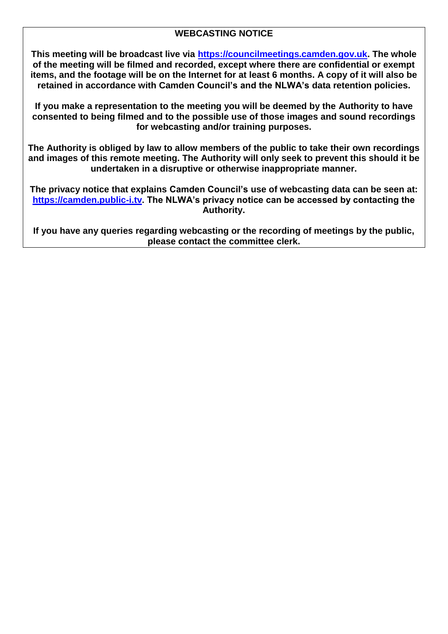# **WEBCASTING NOTICE**

**This meeting will be broadcast live via [https://councilmeetings.camden.gov.uk.](https://councilmeetings.camden.gov.uk/) The whole of the meeting will be filmed and recorded, except where there are confidential or exempt items, and the footage will be on the Internet for at least 6 months. A copy of it will also be retained in accordance with Camden Council's and the NLWA's data retention policies.**

**If you make a representation to the meeting you will be deemed by the Authority to have consented to being filmed and to the possible use of those images and sound recordings for webcasting and/or training purposes.**

**The Authority is obliged by law to allow members of the public to take their own recordings and images of this remote meeting. The Authority will only seek to prevent this should it be undertaken in a disruptive or otherwise inappropriate manner.**

**The privacy notice that explains Camden Council's use of webcasting data can be seen at: [https://camden.public-i.tv.](https://camden.public-i.tv/) The NLWA's privacy notice can be accessed by contacting the Authority.**

**If you have any queries regarding webcasting or the recording of meetings by the public, please contact the committee clerk.**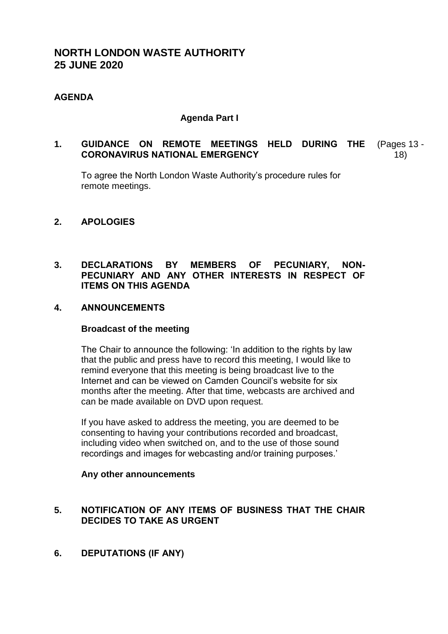# **NORTH LONDON WASTE AUTHORITY 25 JUNE 2020**

# **AGENDA**

#### **Agenda Part I**

#### **1. GUIDANCE ON REMOTE MEETINGS HELD DURING THE CORONAVIRUS NATIONAL EMERGENCY** (Pages 13 - 18)

To agree the North London Waste Authority's procedure rules for remote meetings.

#### **2. APOLOGIES**

#### **3. DECLARATIONS BY MEMBERS OF PECUNIARY, NON-PECUNIARY AND ANY OTHER INTERESTS IN RESPECT OF ITEMS ON THIS AGENDA**

#### **4. ANNOUNCEMENTS**

#### **Broadcast of the meeting**

The Chair to announce the following: 'In addition to the rights by law that the public and press have to record this meeting, I would like to remind everyone that this meeting is being broadcast live to the Internet and can be viewed on Camden Council's website for six months after the meeting. After that time, webcasts are archived and can be made available on DVD upon request.

If you have asked to address the meeting, you are deemed to be consenting to having your contributions recorded and broadcast, including video when switched on, and to the use of those sound recordings and images for webcasting and/or training purposes.'

#### **Any other announcements**

## **5. NOTIFICATION OF ANY ITEMS OF BUSINESS THAT THE CHAIR DECIDES TO TAKE AS URGENT**

#### **6. DEPUTATIONS (IF ANY)**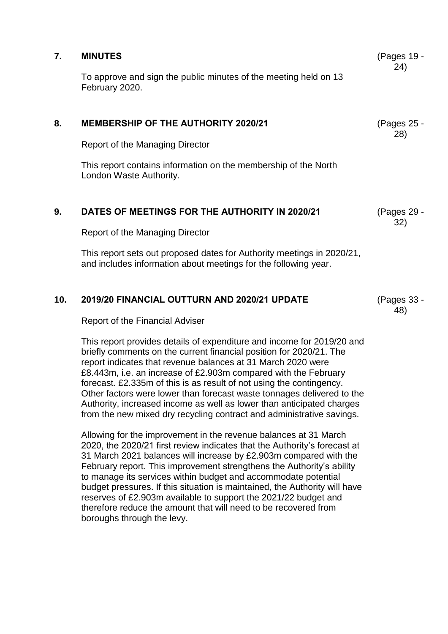|    | <b>MINUTES</b>                                                                     | (Pages 19 -<br>(24) |
|----|------------------------------------------------------------------------------------|---------------------|
|    | To approve and sign the public minutes of the meeting held on 13<br>February 2020. |                     |
| 8. | <b>MEMBERSHIP OF THE AUTHORITY 2020/21</b>                                         | (Pages 25 -<br>28)  |
|    | Report of the Managing Director                                                    |                     |
|    |                                                                                    |                     |

(Pages 29 - 32)

(Pages 33 - 48)

#### **9. DATES OF MEETINGS FOR THE AUTHORITY IN 2020/21**

Report of the Managing Director

This report sets out proposed dates for Authority meetings in 2020/21, and includes information about meetings for the following year.

#### **10. 2019/20 FINANCIAL OUTTURN AND 2020/21 UPDATE**

Report of the Financial Adviser

This report provides details of expenditure and income for 2019/20 and briefly comments on the current financial position for 2020/21. The report indicates that revenue balances at 31 March 2020 were £8.443m, i.e. an increase of £2.903m compared with the February forecast. £2.335m of this is as result of not using the contingency. Other factors were lower than forecast waste tonnages delivered to the Authority, increased income as well as lower than anticipated charges from the new mixed dry recycling contract and administrative savings.

Allowing for the improvement in the revenue balances at 31 March 2020, the 2020/21 first review indicates that the Authority's forecast at 31 March 2021 balances will increase by £2.903m compared with the February report. This improvement strengthens the Authority's ability to manage its services within budget and accommodate potential budget pressures. If this situation is maintained, the Authority will have reserves of £2.903m available to support the 2021/22 budget and therefore reduce the amount that will need to be recovered from boroughs through the levy.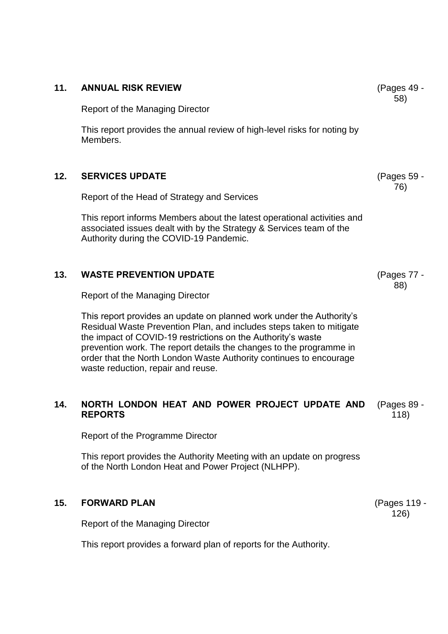| 11. | <b>ANNUAL RISK REVIEW</b>                                                                                                                                                                                                                                                                                                                                                                       | (Pages 49 -          |
|-----|-------------------------------------------------------------------------------------------------------------------------------------------------------------------------------------------------------------------------------------------------------------------------------------------------------------------------------------------------------------------------------------------------|----------------------|
|     | Report of the Managing Director                                                                                                                                                                                                                                                                                                                                                                 | 58)                  |
|     | This report provides the annual review of high-level risks for noting by<br>Members.                                                                                                                                                                                                                                                                                                            |                      |
| 12. | <b>SERVICES UPDATE</b>                                                                                                                                                                                                                                                                                                                                                                          | (Pages 59 -<br>76)   |
|     | Report of the Head of Strategy and Services                                                                                                                                                                                                                                                                                                                                                     |                      |
|     | This report informs Members about the latest operational activities and<br>associated issues dealt with by the Strategy & Services team of the<br>Authority during the COVID-19 Pandemic.                                                                                                                                                                                                       |                      |
| 13. | <b>WASTE PREVENTION UPDATE</b>                                                                                                                                                                                                                                                                                                                                                                  | (Pages 77 -<br>88)   |
|     | Report of the Managing Director                                                                                                                                                                                                                                                                                                                                                                 |                      |
|     | This report provides an update on planned work under the Authority's<br>Residual Waste Prevention Plan, and includes steps taken to mitigate<br>the impact of COVID-19 restrictions on the Authority's waste<br>prevention work. The report details the changes to the programme in<br>order that the North London Waste Authority continues to encourage<br>waste reduction, repair and reuse. |                      |
| 14. | NORTH LONDON HEAT AND POWER PROJECT UPDATE AND<br><b>REPORTS</b>                                                                                                                                                                                                                                                                                                                                | (Pages 89 -<br>118)  |
|     | Report of the Programme Director                                                                                                                                                                                                                                                                                                                                                                |                      |
|     | This report provides the Authority Meeting with an update on progress<br>of the North London Heat and Power Project (NLHPP).                                                                                                                                                                                                                                                                    |                      |
| 15. | <b>FORWARD PLAN</b>                                                                                                                                                                                                                                                                                                                                                                             | (Pages 119 -<br>126) |
|     | <b>Report of the Managing Director</b>                                                                                                                                                                                                                                                                                                                                                          |                      |

This report provides a forward plan of reports for the Authority.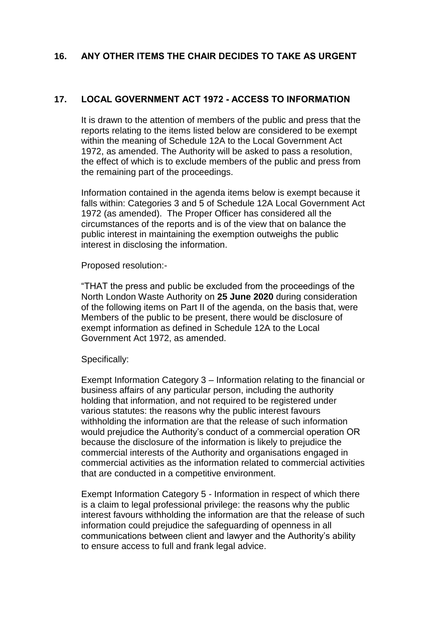# **16. ANY OTHER ITEMS THE CHAIR DECIDES TO TAKE AS URGENT**

## **17. LOCAL GOVERNMENT ACT 1972 - ACCESS TO INFORMATION**

It is drawn to the attention of members of the public and press that the reports relating to the items listed below are considered to be exempt within the meaning of Schedule 12A to the Local Government Act 1972, as amended. The Authority will be asked to pass a resolution, the effect of which is to exclude members of the public and press from the remaining part of the proceedings.

Information contained in the agenda items below is exempt because it falls within: Categories 3 and 5 of Schedule 12A Local Government Act 1972 (as amended). The Proper Officer has considered all the circumstances of the reports and is of the view that on balance the public interest in maintaining the exemption outweighs the public interest in disclosing the information.

#### Proposed resolution:-

"THAT the press and public be excluded from the proceedings of the North London Waste Authority on **25 June 2020** during consideration of the following items on Part II of the agenda, on the basis that, were Members of the public to be present, there would be disclosure of exempt information as defined in Schedule 12A to the Local Government Act 1972, as amended.

#### Specifically:

Exempt Information Category 3 – Information relating to the financial or business affairs of any particular person, including the authority holding that information, and not required to be registered under various statutes: the reasons why the public interest favours withholding the information are that the release of such information would prejudice the Authority's conduct of a commercial operation OR because the disclosure of the information is likely to prejudice the commercial interests of the Authority and organisations engaged in commercial activities as the information related to commercial activities that are conducted in a competitive environment.

Exempt Information Category 5 - Information in respect of which there is a claim to legal professional privilege: the reasons why the public interest favours withholding the information are that the release of such information could prejudice the safeguarding of openness in all communications between client and lawyer and the Authority's ability to ensure access to full and frank legal advice.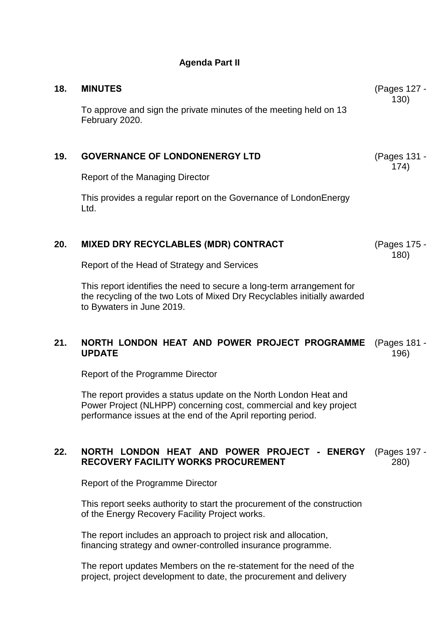# **Agenda Part II**

| 18. | <b>MINUTES</b>                                                                                                                                                                                        | (Pages 127 -<br>130) |
|-----|-------------------------------------------------------------------------------------------------------------------------------------------------------------------------------------------------------|----------------------|
|     | To approve and sign the private minutes of the meeting held on 13<br>February 2020.                                                                                                                   |                      |
| 19. | <b>GOVERNANCE OF LONDONENERGY LTD</b>                                                                                                                                                                 | (Pages 131 -<br>174) |
|     | Report of the Managing Director                                                                                                                                                                       |                      |
|     | This provides a regular report on the Governance of London Energy<br>Ltd.                                                                                                                             |                      |
| 20. | MIXED DRY RECYCLABLES (MDR) CONTRACT                                                                                                                                                                  | (Pages 175 -<br>180) |
|     | Report of the Head of Strategy and Services                                                                                                                                                           |                      |
|     | This report identifies the need to secure a long-term arrangement for<br>the recycling of the two Lots of Mixed Dry Recyclables initially awarded<br>to Bywaters in June 2019.                        |                      |
|     |                                                                                                                                                                                                       |                      |
| 21. | NORTH LONDON HEAT AND POWER PROJECT PROGRAMME<br><b>UPDATE</b>                                                                                                                                        | (Pages 181 -<br>196) |
|     | Report of the Programme Director                                                                                                                                                                      |                      |
|     | The report provides a status update on the North London Heat and<br>Power Project (NLHPP) concerning cost, commercial and key project<br>performance issues at the end of the April reporting period. |                      |
| 22. | NORTH LONDON HEAT AND POWER PROJECT - ENERGY<br>RECOVERY FACILITY WORKS PROCUREMENT                                                                                                                   | (Pages 197 -<br>280) |
|     | Report of the Programme Director                                                                                                                                                                      |                      |
|     | This report seeks authority to start the procurement of the construction<br>of the Energy Recovery Facility Project works.                                                                            |                      |
|     | The report includes an approach to project risk and allocation,<br>financing strategy and owner-controlled insurance programme.                                                                       |                      |

project, project development to date, the procurement and delivery